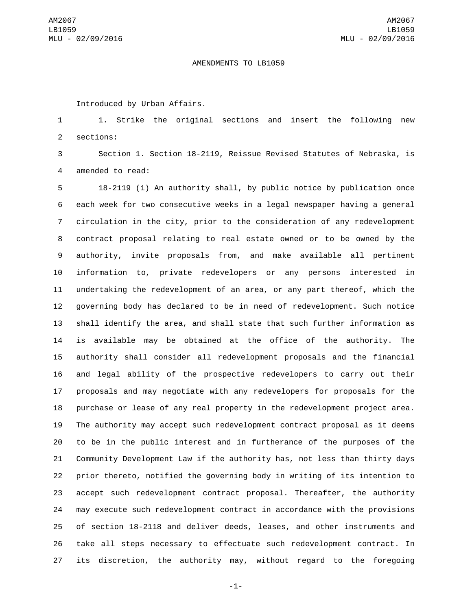## AMENDMENTS TO LB1059

Introduced by Urban Affairs.

 1. Strike the original sections and insert the following new 2 sections:

 Section 1. Section 18-2119, Reissue Revised Statutes of Nebraska, is 4 amended to read:

 18-2119 (1) An authority shall, by public notice by publication once each week for two consecutive weeks in a legal newspaper having a general circulation in the city, prior to the consideration of any redevelopment contract proposal relating to real estate owned or to be owned by the authority, invite proposals from, and make available all pertinent information to, private redevelopers or any persons interested in undertaking the redevelopment of an area, or any part thereof, which the governing body has declared to be in need of redevelopment. Such notice shall identify the area, and shall state that such further information as is available may be obtained at the office of the authority. The authority shall consider all redevelopment proposals and the financial and legal ability of the prospective redevelopers to carry out their proposals and may negotiate with any redevelopers for proposals for the purchase or lease of any real property in the redevelopment project area. The authority may accept such redevelopment contract proposal as it deems to be in the public interest and in furtherance of the purposes of the Community Development Law if the authority has, not less than thirty days prior thereto, notified the governing body in writing of its intention to accept such redevelopment contract proposal. Thereafter, the authority may execute such redevelopment contract in accordance with the provisions of section 18-2118 and deliver deeds, leases, and other instruments and take all steps necessary to effectuate such redevelopment contract. In its discretion, the authority may, without regard to the foregoing

-1-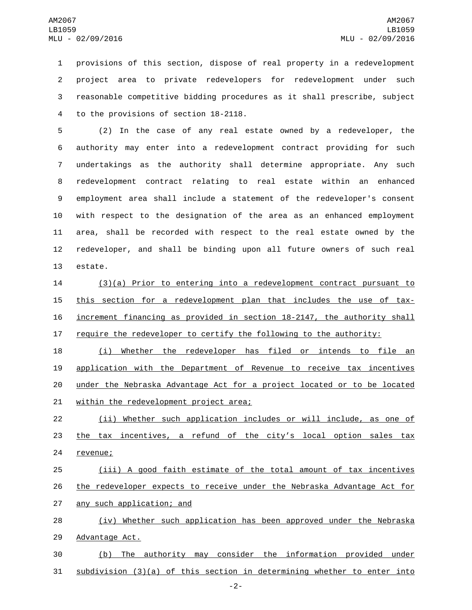provisions of this section, dispose of real property in a redevelopment project area to private redevelopers for redevelopment under such reasonable competitive bidding procedures as it shall prescribe, subject 4 to the provisions of section 18-2118.

 (2) In the case of any real estate owned by a redeveloper, the authority may enter into a redevelopment contract providing for such undertakings as the authority shall determine appropriate. Any such redevelopment contract relating to real estate within an enhanced employment area shall include a statement of the redeveloper's consent with respect to the designation of the area as an enhanced employment area, shall be recorded with respect to the real estate owned by the redeveloper, and shall be binding upon all future owners of such real 13 estate.

 (3)(a) Prior to entering into a redevelopment contract pursuant to 15 this section for a redevelopment plan that includes the use of tax- increment financing as provided in section 18-2147, the authority shall require the redeveloper to certify the following to the authority:

 (i) Whether the redeveloper has filed or intends to file an application with the Department of Revenue to receive tax incentives under the Nebraska Advantage Act for a project located or to be located 21 within the redevelopment project area;

22 (ii) Whether such application includes or will include, as one of 23 the tax incentives, a refund of the city's local option sales tax 24 revenue;

25 (iii) A good faith estimate of the total amount of tax incentives 26 the redeveloper expects to receive under the Nebraska Advantage Act for 27 any such application; and

28 (iv) Whether such application has been approved under the Nebraska 29 Advantage Act.

30 (b) The authority may consider the information provided under 31 subdivision (3)(a) of this section in determining whether to enter into

-2-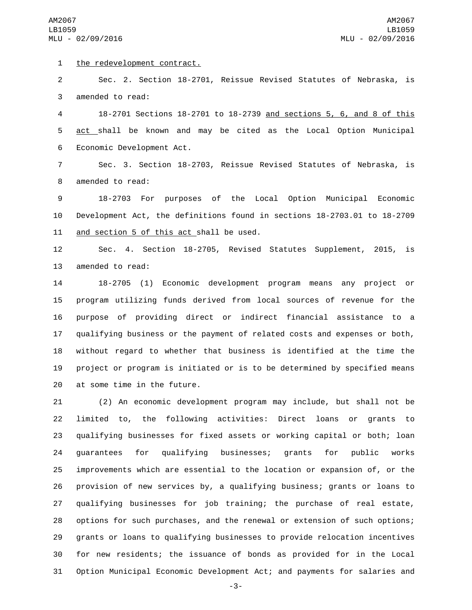AM2067 LB1059 MLU - 02/09/2016

1 the redevelopment contract.

 Sec. 2. Section 18-2701, Reissue Revised Statutes of Nebraska, is 3 amended to read:

 18-2701 Sections 18-2701 to 18-2739 and sections 5, 6, and 8 of this act shall be known and may be cited as the Local Option Municipal 6 Economic Development Act.

 Sec. 3. Section 18-2703, Reissue Revised Statutes of Nebraska, is 8 amended to read:

 18-2703 For purposes of the Local Option Municipal Economic Development Act, the definitions found in sections 18-2703.01 to 18-2709 11 and section 5 of this act shall be used.

 Sec. 4. Section 18-2705, Revised Statutes Supplement, 2015, is 13 amended to read:

 18-2705 (1) Economic development program means any project or program utilizing funds derived from local sources of revenue for the purpose of providing direct or indirect financial assistance to a qualifying business or the payment of related costs and expenses or both, without regard to whether that business is identified at the time the project or program is initiated or is to be determined by specified means 20 at some time in the future.

 (2) An economic development program may include, but shall not be limited to, the following activities: Direct loans or grants to qualifying businesses for fixed assets or working capital or both; loan guarantees for qualifying businesses; grants for public works improvements which are essential to the location or expansion of, or the provision of new services by, a qualifying business; grants or loans to qualifying businesses for job training; the purchase of real estate, options for such purchases, and the renewal or extension of such options; grants or loans to qualifying businesses to provide relocation incentives for new residents; the issuance of bonds as provided for in the Local Option Municipal Economic Development Act; and payments for salaries and

-3-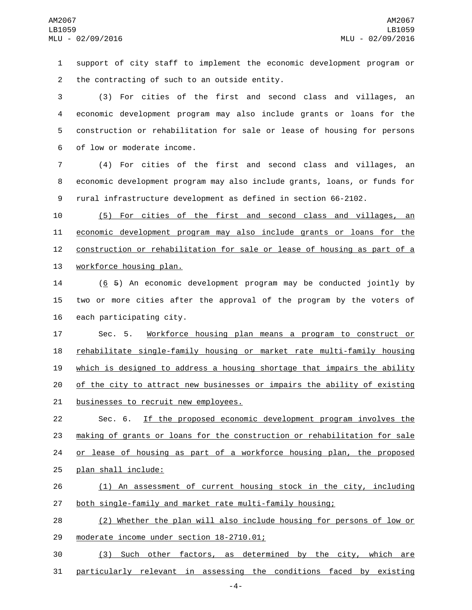support of city staff to implement the economic development program or 2 the contracting of such to an outside entity.

 (3) For cities of the first and second class and villages, an economic development program may also include grants or loans for the construction or rehabilitation for sale or lease of housing for persons 6 of low or moderate income.

 (4) For cities of the first and second class and villages, an economic development program may also include grants, loans, or funds for rural infrastructure development as defined in section 66-2102.

 (5) For cities of the first and second class and villages, an economic development program may also include grants or loans for the construction or rehabilitation for sale or lease of housing as part of a 13 workforce housing plan.

 (6 5) An economic development program may be conducted jointly by two or more cities after the approval of the program by the voters of each participating city.

 Sec. 5. Workforce housing plan means a program to construct or rehabilitate single-family housing or market rate multi-family housing which is designed to address a housing shortage that impairs the ability of the city to attract new businesses or impairs the ability of existing 21 businesses to recruit new employees.

 Sec. 6. If the proposed economic development program involves the making of grants or loans for the construction or rehabilitation for sale or lease of housing as part of a workforce housing plan, the proposed 25 plan shall include:

 (1) An assessment of current housing stock in the city, including 27 both single-family and market rate multi-family housing;

 (2) Whether the plan will also include housing for persons of low or 29 moderate income under section 18-2710.01;

 (3) Such other factors, as determined by the city, which are particularly relevant in assessing the conditions faced by existing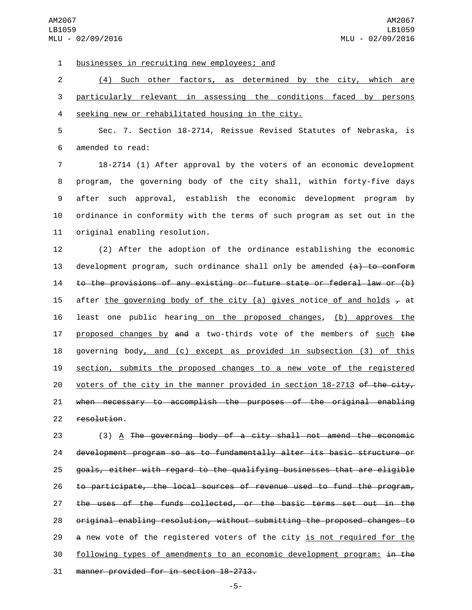1 businesses in recruiting new employees; and

2 (4) Such other factors, as determined by the city, which are 3 particularly relevant in assessing the conditions faced by persons 4 seeking new or rehabilitated housing in the city.

5 Sec. 7. Section 18-2714, Reissue Revised Statutes of Nebraska, is 6 amended to read:

 18-2714 (1) After approval by the voters of an economic development program, the governing body of the city shall, within forty-five days after such approval, establish the economic development program by ordinance in conformity with the terms of such program as set out in the 11 original enabling resolution.

12 (2) After the adoption of the ordinance establishing the economic 13 development program, such ordinance shall only be amended  $(a)$  to conform 14 to the provisions of any existing or future state or federal law or (b) 15 after the governing body of the city (a) gives notice of and holds  $\tau$  at 16 least one public hearing on the proposed changes, (b) approves the 17 proposed changes by and a two-thirds vote of the members of such the 18 governing body, and (c) except as provided in subsection (3) of this 19 section, submits the proposed changes to a new vote of the registered 20 voters of the city in the manner provided in section 18-2713 of the city, 21 when necessary to accomplish the purposes of the original enabling 22 resolution.

 (3) A The governing body of a city shall not amend the economic development program so as to fundamentally alter its basic structure or goals, either with regard to the qualifying businesses that are eligible to participate, the local sources of revenue used to fund the program, the uses of the funds collected, or the basic terms set out in the original enabling resolution, without submitting the proposed changes to 29 a new vote of the registered voters of the city is not required for the following types of amendments to an economic development program: in the 31 manner provided for in section 18-2713.

-5-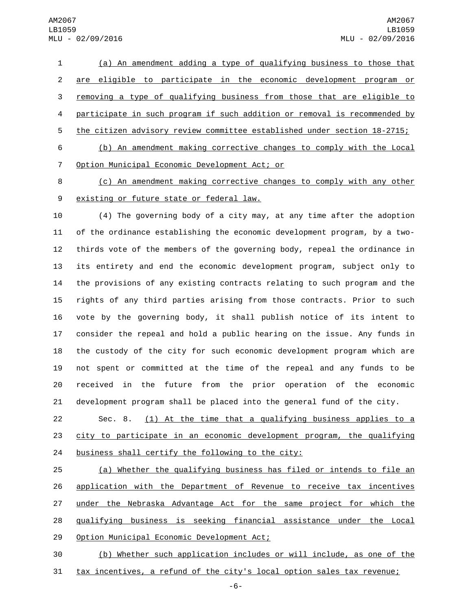(a) An amendment adding a type of qualifying business to those that are eligible to participate in the economic development program or removing a type of qualifying business from those that are eligible to participate in such program if such addition or removal is recommended by the citizen advisory review committee established under section 18-2715; (b) An amendment making corrective changes to comply with the Local

7 Option Municipal Economic Development Act; or

 (c) An amendment making corrective changes to comply with any other 9 existing or future state or federal law.

 (4) The governing body of a city may, at any time after the adoption of the ordinance establishing the economic development program, by a two- thirds vote of the members of the governing body, repeal the ordinance in its entirety and end the economic development program, subject only to the provisions of any existing contracts relating to such program and the rights of any third parties arising from those contracts. Prior to such vote by the governing body, it shall publish notice of its intent to consider the repeal and hold a public hearing on the issue. Any funds in the custody of the city for such economic development program which are not spent or committed at the time of the repeal and any funds to be received in the future from the prior operation of the economic development program shall be placed into the general fund of the city.

 Sec. 8. (1) At the time that a qualifying business applies to a city to participate in an economic development program, the qualifying 24 business shall certify the following to the city:

 (a) Whether the qualifying business has filed or intends to file an application with the Department of Revenue to receive tax incentives 27 under the Nebraska Advantage Act for the same project for which the qualifying business is seeking financial assistance under the Local 29 Option Municipal Economic Development Act;

 (b) Whether such application includes or will include, as one of the tax incentives, a refund of the city's local option sales tax revenue;